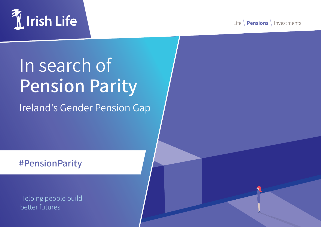

Life **Pensions** Investments

## In search of **Pension Parity**

Ireland's Gender Pension Gap

**#PensionParity**

Helping people build better futures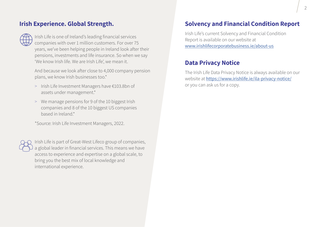## **Irish Experience. Global Strength.**



Irish Life is one of Ireland's leading financial services companies with over 1 million customers. For over 75 years, we've been helping people in Ireland look after their pensions, investments and life insurance. So when we say 'We know Irish life. We are Irish Life', we mean it.

And because we look after close to 4,000 company pension plans, we know Irish businesses too.\*

- > Irish Life Investment Managers have €103.8bn of assets under management.\*
- > We manage pensions for 9 of the 10 biggest Irish companies and 8 of the 10 biggest US companies based in Ireland\*

\*Source: Irish Life Investment Managers, 2022.



Irish Life is part of Great-West Lifeco group of companies, a global leader in financial services. This means we have access to experience and expertise on a global scale, to bring you the best mix of local knowledge and international experience.

## **Solvency and Financial Condition Report**

Irish Life's current Solvency and Financial Condition Report is available on our website at www.irishlifecorporatebusiness.ie/about-us

## **Data Privacy Notice**

The Irish Life Data Privacy Notice is always available on our website at https://www.irishlife.ie/ila-privacy-notice/ or you can ask us for a copy.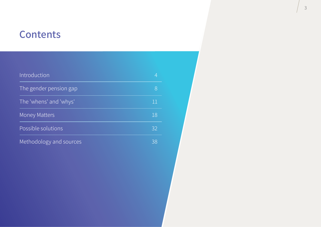## **Contents**

| Introduction            |    |
|-------------------------|----|
| The gender pension gap  |    |
| The 'whens' and 'whys'  | 11 |
| <b>Money Matters</b>    | 18 |
| Possible solutions      | 32 |
| Methodology and sources | 38 |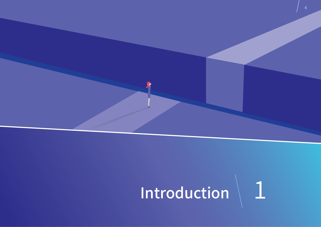

# Introduction 1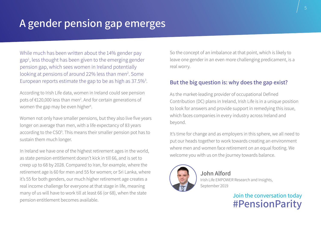## **A gender pension gap emerges**

While much has been written about the 14% gender pay gap<sup>1</sup>, less thought has been given to the emerging gender pension gap, which sees women in Ireland potentially looking at pensions of around 22% less than men<sup>2</sup>. Some European reports estimate the gap to be as high as 37.5%<sup>3</sup>.

According to Irish Life data, women in Ireland could see pension pots of €120,000 less than men<sup>2</sup>. And for certain generations of women the gap may be even higher<sup>4</sup>.

Women not only have smaller pensions, but they also live five years longer on average than men, with a life expectancy of 83 years according to the CSO<sup>5</sup>. This means their smaller pension pot has to sustain them much longer.

In Ireland we have one of the highest retirement ages in the world, as state pension entitlement doesn't kick in till 66, and is set to creep up to 68 by 2028. Compared to Iran, for example, where the retirement age is 60 for men and 55 for women; or Sri Lanka, where it's 55 for both genders, our much higher retirement age creates a real income challenge for everyone at that stage in life, meaning many of us will have to work till at least 66 (or 68), when the state pension entitlement becomes available.

So the concept of an imbalance at that point, which is likely to leave one gender in an even more challenging predicament, is a real worry.

#### **But the big question is: why does the gap exist?**

As the market-leading provider of occupational Defined Contribution (DC) plans in Ireland, Irish Life is in a unique position to look for answers and provide support in remedying this issue, which faces companies in every industry across Ireland and beyond.

It's time for change and as employers in this sphere, we all need to put our heads together to work towards creating an environment where men and women face retirement on an equal footing. We welcome you with us on the journey towards balance.



#### **John Alford** Irish Life EMPOWER Research and Insights,

September 2019

Join the conversation today **#PensionParity**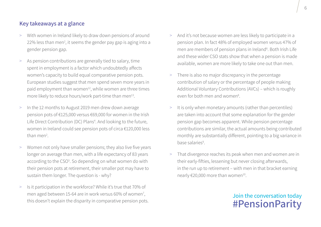#### **Key takeaways at a glance**

- > With women in Ireland likely to draw down pensions of around 22% less than men<sup>2</sup>, it seems the gender pay gap is aging into a gender pension gap.
- > As pension contributions are generally tied to salary, time spent in employment is a factor which undoubtedly affects women's capacity to build equal comparative pension pots. European studies suggest that men spend seven more years in paid employment than women<sup>12</sup>, while women are three times more likely to reduce hours/work part-time than men<sup>13</sup>.
- > In the 12 months to August 2019 men drew down average pension pots of €125,000 versus €69,000 for women in the Irish Life Direct Contribution (DC) Plans<sup>4</sup>. And looking to the future, women in Ireland could see pension pots of circa €120,000 less than men<sup>2</sup>.
- > Women not only have smaller pensions; they also live five years longer on average than men, with a life expectancy of 83 years according to the CSO<sup>5</sup>. So depending on what women do with their pension pots at retirement, their smaller pot may have to sustain them longer. The question is - why?
- > Is it participation in the workforce? While it's true that 70% of men aged between 15-64 are in work versus 60% of women<sup>7</sup>, this doesn't explain the disparity in comparative pension pots.
- > And it's not because women are less likely to participate in a pension plan. In fact 48% of employed women versus 47% of men are members of pension plans in Ireland<sup>6</sup>. Both Irish Life and these wider CSO stats show that when a pension is made available, women are more likely to take one out than men.
- > There is also no major discrepancy in the percentage contribution of salary or the percentage of people making Additional Voluntary Contributions (AVCs) – which is roughly even for both men and women<sup>8</sup>.
- > It is only when monetary amounts (rather than percentiles) are taken into account that some explanation for the gender pension gap becomes apparent. While pension percentage contributions are similar, the actual amounts being contributed monthly are substantially different, pointing to a big variance in base salaries<sup>9</sup>.
- > That divergence reaches its peak when men and women are in their early-fifties, lessening but never closing afterwards, in the run up to retirement – with men in that bracket earning nearly  $\epsilon$ 20,000 more than women<sup>10</sup>.

## Join the conversation today **#PensionParity**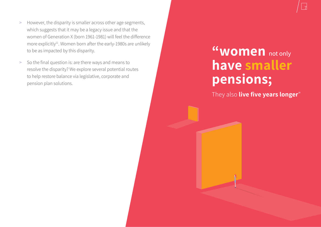7

7

- > However, the disparity is smaller across other age segments, which suggests that it may be a legacy issue and that the women of Generation X (born 1961-1981) will feel the difference more explicitly<sup>11</sup>. Women born after the early-1980s are unlikely to be as impacted by this disparity.
- > So the final question is: are there ways and means to resolve the disparity? We explore several potential routes to help restore balance via legislative, corporate and pension plan solutions.

## **"women** not only **have smaller pensions;**

They also **live five years longer**"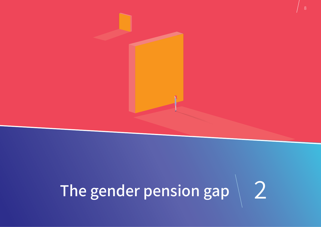# The gender pension gap 2

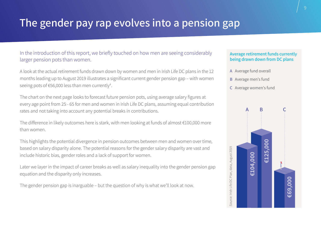## **The gender pay rap evolves into a pension gap**

#### In the introduction of this report, we briefly touched on how men are seeing considerably larger pension pots than women.

A look at the actual retirement funds drawn down by women and men in Irish Life DC plans in the 12 months leading up to August 2019 illustrates a significant current gender pension gap – with women seeing pots of €56,000 less than men currently<sup>4</sup>.

The chart on the next page looks to forecast future pension pots, using average salary figures at every age point from 25 - 65 for men and women in Irish Life DC plans, assuming equal contribution rates and not taking into account any potential breaks in contributions.

The difference in likely outcomes here is stark, with men looking at funds of almost €100,000 more than women.

This highlights the potential divergence in pension outcomes between men and women over time, based on salary disparity alone. The potential reasons for the gender salary disparity are vast and include historic bias, gender roles and a lack of support for women.

Later we layer in the impact of career breaks as well as salary inequality into the gender pension gap equation and the disparity only increases.

The gender pension gap is inarguable – but the question of why is what we'll look at now.

#### **Average retirement funds currently being drawn down from DC plans**

- A Average fund overall
- B Average men's fund
- C Average women's fund

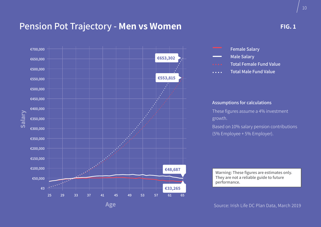## **Pension Pot Trajectory - Men vs Women**



#### **FIG. 1**



#### **Assumptions for calculations**

These figures assume a 4% investment growth.

Based on 10% salary pension contributions (5% Employee + 5% Employer).

**Warning: These figures are estimates only. They are not a reliable guide to future performance.**

Source: Irish Life DC Plan Data, March 2019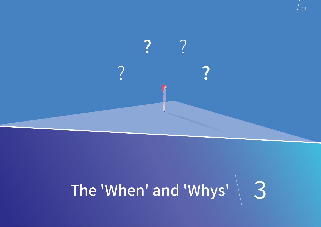

## The 'When' and 'Whys' 3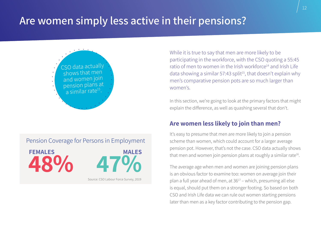## **Are women simply less active in their pensions?**





While it is true to say that men are more likely to be participating in the workforce, with the CSO quoting a 55:45 ratio of men to women in the Irish workforce<sup>14</sup> and Irish Life data showing a similar 57:43 split<sup>15</sup>, that doesn't explain why men's comparative pension pots are so much larger than women's.

In this section, we're going to look at the primary factors that might explain the difference, as well as quashing several that don't.

#### **Are women less likely to join than men?**

It's easy to presume that men are more likely to join a pension scheme than women, which could account for a larger average pension pot. However, that's not the case. CSO data actually shows that men and women join pension plans at roughly a similar rate<sup>16</sup>.

The average age when men and women are joining pension plans is an obvious factor to examine too: women on average join their plan a full year ahead of men, at  $36^{17}$  – which, presuming all else is equal, should put them on a stronger footing. So based on both CSO and Irish Life data we can rule out women starting pensions later than men as a key factor contributing to the pension gap.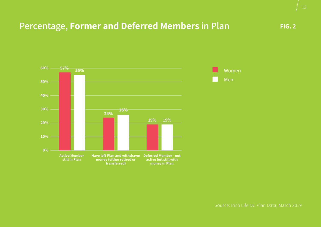## **Percentage, Former and Deferred Members in Plan**

**FIG. 2**



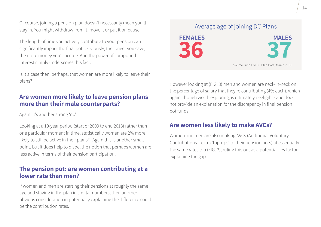Of course, joining a pension plan doesn't necessarily mean you'll stay in. You might withdraw from it, move it or put it on pause.

The length of time you actively contribute to your pension can significantly impact the final pot. Obviously, the longer you save, the more money you'll accrue. And the power of compound interest simply underscores this fact.

Is it a case then, perhaps, that women are more likely to leave their plans?

## **Are women more likely to leave pension plans more than their male counterparts?**

Again: it's another strong 'no'.

Looking at a 10-year period (start of 2009 to end 2018) rather than one particular moment in time, statistically women are 2% more likely to still be active in their plans<sup>18</sup>. Again this is another small point, but it does help to dispel the notion that perhaps women are less active in terms of their pension participation.

## **The pension pot: are women contributing at a lower rate than men?**

If women and men are starting their pensions at roughly the same age and staying in the plan in similar numbers, then another obvious consideration in potentially explaining the difference could be the contribution rates.

## **FEMALES 36 MALES 37** Average age of joining DC Plans Source: Irish Life DC Plan Data, March 2019

However looking at (FIG. 3) men and women are neck-in-neck on the percentage of salary that they're contributing (4% each), which again, though worth exploring, is ultimately negligible and does not provide an explanation for the discrepancy in final pension pot funds.

## **Are women less likely to make AVCs?**

Women and men are also making AVCs (Additional Voluntary Contributions – extra 'top-ups' to their pension pots) at essentially the same rates too (FIG. 3), ruling this out as a potential key factor explaining the gap.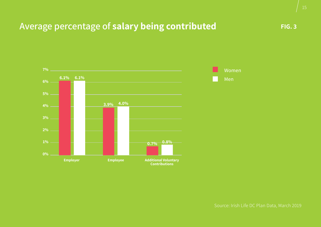## Average percentage of **salary being contributed FIG. 3** FIG. 3



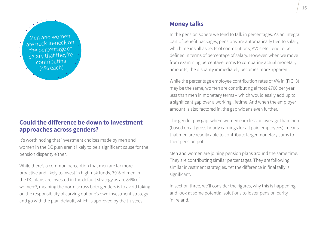

## **Could the difference be down to investment approaches across genders?**

It's worth noting that investment choices made by men and women in the DC plan aren't likely to be a significant cause for the pension disparity either.

While there's a common perception that men are far more proactive and likely to invest in high-risk funds, 79% of men in the DC plans are invested in the default strategy as are 84% of women<sup>19</sup>, meaning the norm across both genders is to avoid taking on the responsibility of carving out one's own investment strategy and go with the plan default, which is approved by the trustees.

#### **Money talks**

In the pension sphere we tend to talk in percentages. As an integral part of benefit packages, pensions are automatically tied to salary, which means all aspects of contributions, AVCs etc. tend to be defined in terms of percentage of salary. However, when we move from examining percentage terms to comparing actual monetary amounts, the disparity immediately becomes more apparent.

While the percentage employee contribution rates of 4% in (FIG. 3) may be the same, women are contributing almost €700 per year less than men in monetary terms – which would easily add up to a significant gap over a working lifetime. And when the employer amount is also factored in, the gap widens even further.

The gender pay gap, where women earn less on average than men (based on all gross hourly earnings for all paid employees), means that men are readily able to contribute larger monetary sums to their pension pot.

Men and women are joining pension plans around the same time. They are contributing similar percentages. They are following similar investment strategies. Yet the difference in final tally is significant.

In section three, we'll consider the figures, why this is happening, and look at some potential solutions to foster pension parity in Ireland.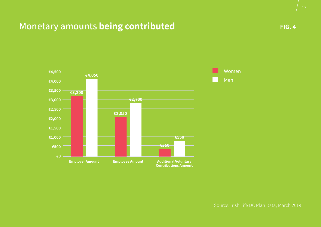## **Monetary amounts being contributed**

**FIG. 4**



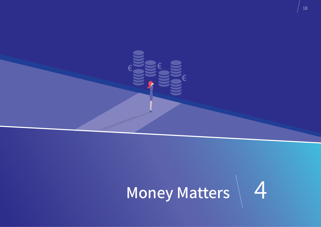

**€**

**€**

**€**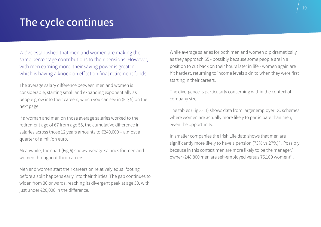## **The cycle continues**

We've established that men and women are making the same percentage contributions to their pensions. However, with men earning more, their saving power is greater – which is having a knock-on effect on final retirement funds.

The average salary difference between men and women is considerable, starting small and expanding exponentially as people grow into their careers, which you can see in (Fig 5) on the next page.

If a woman and man on those average salaries worked to the retirement age of 67 from age 55, the cumulative difference in salaries across those 12 years amounts to €240,000 – almost a quarter of a million euro.

Meanwhile, the chart (Fig 6) shows average salaries for men and women throughout their careers.

Men and women start their careers on relatively equal footing before a split happens early into their thirties. The gap continues to widen from 30 onwards, reaching its divergent peak at age 50, with just under €20,000 in the difference.

While average salaries for both men and women dip dramatically as they approach 65 - possibly because some people are in a position to cut back on their hours later in life - women again are hit hardest, returning to income levels akin to when they were first starting in their careers.

The divergence is particularly concerning within the context of company size.

The tables (Fig 8-11) shows data from larger employer DC schemes where women are actually more likely to participate than men, given the opportunity.

In smaller companies the Irish Life data shows that men are significantly more likely to have a pension (73% vs 27%)<sup>20</sup>. Possibly because in this context men are more likely to be the manager/ owner (248,800 men are self-employed versus 75,100 women)<sup>21</sup>.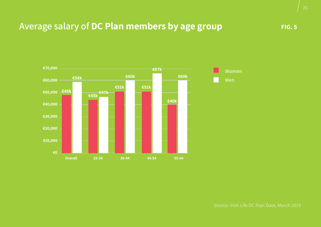## Average salary of DC Plan members by age group **FIG. 5** FIG. 5

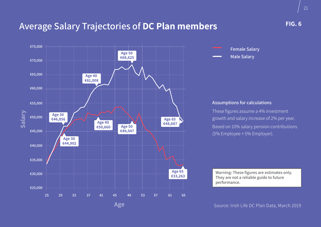## **Average Salary Trajectories of DC Plan members**





#### **Assumptions for calculations**

These figures assume a 4% investment growth and salary increase of 2% per year. Based on 10% salary pension contributions (5% Employee + 5% Employer).

**Warning: These figures are estimates only. They are not a reliable guide to future performance.**

Source: Irish Life DC Plan Data, March 2019

**FIG. 6**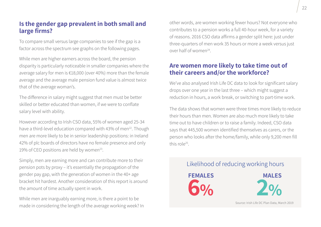## **Is the gender gap prevalent in both small and large firms?**

To compare small versus large companies to see if the gap is a factor across the spectrum see graphs on the following pages.

While men are higher earners across the board, the pension disparity is particularly noticeable in smaller companies where the average salary for men is €18,000 (over 40%) more than the female average and the average male pension fund value is almost twice that of the average woman's.

The difference in salary might suggest that men must be better skilled or better educated than women, if we were to conflate salary level with ability.

However according to Irish CSO data, 55% of women aged 25-34 have a third-level education compared with 43% of men<sup>22</sup>. Though men are more likely to be in senior leadership positions: in Ireland 42% of plc boards of directors have no female presence and only 19% of CEO positions are held by women<sup>23</sup>.

Simply, men are earning more and can contribute more to their pension pots by proxy – it's essentially the propagation of the gender pay gap, with the generation of women in the 40+ age bracket hit hardest. Another consideration of this report is around the amount of time actually spent in work.

While men are inarguably earning more, is there a point to be made in considering the length of the average working week? In other words, are women working fewer hours? Not everyone who contributes to a pension works a full 40-hour week, for a variety of reasons. 2016 CSO data affirms a gender split here: just under three-quarters of men work 35 hours or more a week versus just over half of women24.

## **Are women more likely to take time out of their careers and/or the workforce?**

We've also analysed Irish Life DC data to look for significant salary drops over one year in the last three – which might suggest a reduction in hours, a work break, or switching to part-time work.

The data shows that women were three times more likely to reduce their hours than men. Women are also much more likely to take time out to have children or to raise a family. Indeed, CSO data says that 445,500 women identified themselves as carers, or the person who looks after the home/family, while only 9,200 men fill this role25.

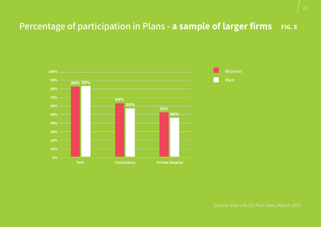## **Percentage of participation in Plans - a sample of larger firms** FIG. 8



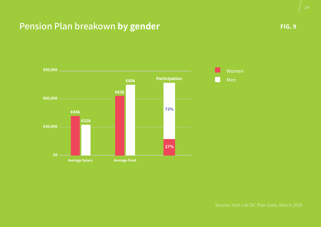## **Pension Plan breakown by gender FIG. 9 FIG. 9 FIG. 9**

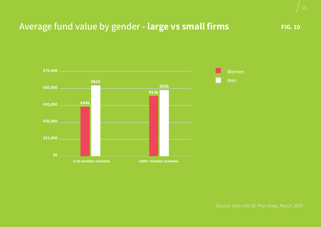## Average fund value by gender - large vs small firms FIG. 10



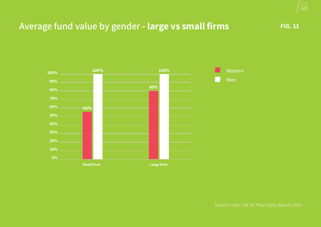## **Average fund value by gender - large vs small firms**



26

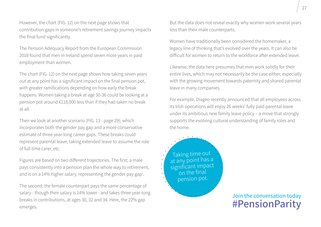However, the chart (FIG. 12) on the next page shows that contribution gaps in someone's retirement savings journey impacts the final fund significantly.

The Pension Adequacy Report from the European Commission 2018 found that men in Ireland spend seven more years in paid employment than women.

The chart (FIG. 12) on the next page shows how taking seven years out at any point has a significant impact on the final pension pot, with greater ramifications depending on how early the break happens. Women taking a break at age 30-36 could be looking at a pension pot around €118,000 less than if they had taken no break at all.

Then we look at another scenario (FIG. 13 - page 29), which incorporates both the gender pay gap and a more conservative estimate of three year-long career gaps. These breaks could represent parental leave, taking extended leave to assume the role of full time carer, etc.

Figures are based on two different trajectories. The first; a male pays consistently into a pension plan the whole way to retirement, and is on a 14% higher salary, representing the gender pay gap<sup>1</sup>.

The second; the female counterpart pays the same percentage of salary - though their salary is 14% lower - and takes three year-long breaks in contributions, at ages 30, 32 and 34. Here, the 22% gap emerges.

But the data does not reveal exactly why women work several years less than their male counterparts.

Women have traditionally been considered the homemaker, a legacy line of thinking that's evolved over the years. It can also be difficult for women to return to the workforce after extended leave.

Likewise, the data here presumes that men work solidly for their entire lives, which may not necessarily be the case either, especially with the growing movement towards paternity and shared parental leave in many companies.

For example, Diageo recently announced that all employees across its Irish operations will enjoy 26 weeks' fully paid parental leave under its ambitious new family leave policy – a move that strongly supports the evolving cultural understanding of family roles and the home.

Taking time out at any point has a significant impact on the final pension pot.

> Join the conversation today **#PensionParity**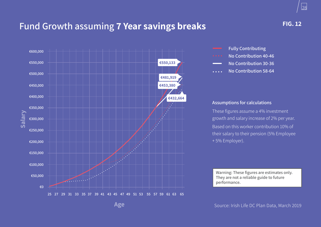## **Fund Growth assuming 7 Year savings breaks**





- **No Contribution 40-46**
- **No Contribution 30-36**
- **No Contribution 58-64**  $\overline{a}$  and  $\overline{a}$

#### **Assumptions for calculations**

These figures assume a 4% investment growth and salary increase of 2% per year. Based on this worker contribution 10% of their salary to their pension (5% Employee + 5% Employer).

**Warning: These figures are estimates only. They are not a reliable guide to future performance.**

Source: Irish Life DC Plan Data, March 2019

**FIG. 12**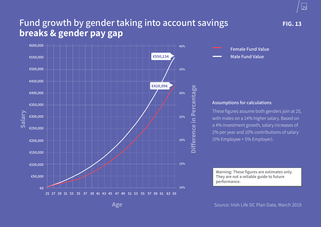## **Fund growth by gender taking into account savings breaks & gender pay gap**





#### **Assumptions for calculations**

These figures assume both genders join at 25, with males on a 14% higher salary. Based on a 4% investment growth, salary increases of 2% per year and 10% contributions of salary (5% Employee + 5% Employer).

**Warning: These figures are estimates only. They are not a reliable guide to future performance.**

Source: Irish Life DC Plan Data, March 2019

29 29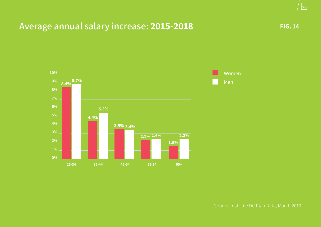## Average annual salary increase: 2015-2018 **FIG. 14** FIG. 14



30 30



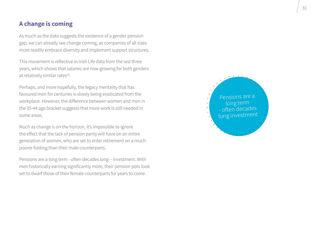#### **A change is coming**

As much as the data suggests the existence of a gender pension gap, we can already see change coming, as companies of all sizes more readily embrace diversity and implement support structures.

This movement is reflective in Irish Life data from the last three years, which shows that salaries are now growing for both genders at relatively similar rates<sup>26</sup>.

Perhaps, and more hopefully, the legacy mentality that has favoured men for centuries is slowly being eradicated from the workplace. However, the difference between women and men in the 35-44 age bracket suggests that more work is still needed in some areas.

Much as change is on the horizon, it's impossible to ignore the effect that the lack of pension parity will have on an entire generation of women, who are set to enter retirement on a much poorer footing than their male counterparts.

Pensions are a long term - often decades long – investment. With men historically earning significantly more, their pension pots look set to dwarf those of their female counterparts for years to come.

Pensions are a long term - often decades long investmen<sup>t</sup>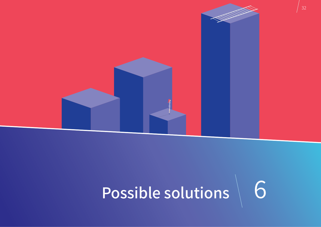

## Possible solutions 6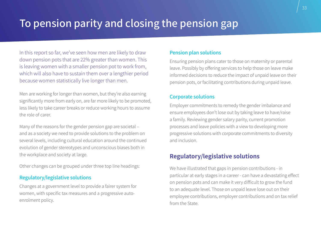## **To pension parity and closing the pension gap**

In this report so far, we've seen how men are likely to draw down pension pots that are 22% greater than women. This is leaving women with a smaller pension pot to work from, which will also have to sustain them over a lengthier period because women statistically live longer than men.

Men are working for longer than women, but they're also earning significantly more from early on, are far more likely to be promoted, less likely to take career breaks or reduce working hours to assume the role of carer.

Many of the reasons for the gender pension gap are societal – and as a society we need to provide solutions to the problem on several levels, including cultural education around the continued evolution of gender stereotypes and unconscious biases both in the workplace and society at large.

Other changes can be grouped under three top line headings:

#### **Regulatory/legislative solutions**

Changes at a government level to provide a fairer system for women, with specific tax measures and a progressive autoenrolment policy.

#### **Pension plan solutions**

Ensuring pension plans cater to those on maternity or parental leave. Possibly by offering services to help those on leave make informed decisions to reduce the impact of unpaid leave on their pension pots, or facilitating contributions during unpaid leave.

#### **Corporate solutions**

Employer commitments to remedy the gender imbalance and ensure employees don't lose out by taking leave to have/raise a family. Reviewing gender salary parity, current promotion processes and leave policies with a view to developing more progressive solutions with corporate commitments to diversity and inclusion.

## **Regulatory/legislative solutions**

We have illustrated that gaps in pension contributions - in particular at early stages in a career - can have a devastating effect on pension pots and can make it very difficult to grow the fund to an adequate level. Those on unpaid leave lose out on their employee contributions, employer contributions and on tax relief from the State.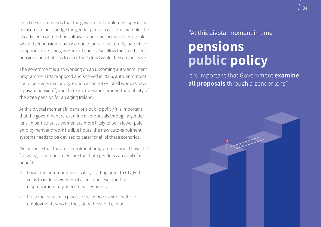Irish Life recommends that the government implement specific tax measures to help bridge the gender pension gap. For example, the tax efficient contributions allowed could be increased for people when their pension is paused due to unpaid maternity, parental or adoption leave. The government could also allow for tax efficient pension contributions to a partner's fund while they are on leave.

The government is also working on an upcoming auto-enrolment programme. First proposed and shelved in 2006, auto-enrolment could be a very real bridge option as only 47% of all workers have a private pension $27$ , and there are questions around the viability of the State pension for an aging Ireland.

At this pivotal moment in pensions public policy it is important that the government re-examine all proposals through a gender lens. In particular, as women are more likely to be in lower paid employment and work flexible hours, the new auto-enrolment systems needs to be devised to cater for all of these scenarios.

We propose that the auto-enrolment programme should have the following conditions to ensure that both genders can avail of its benefits:

- > Lower the auto-enrolment salary starting point to  $E17,600$ so as to include workers of all income levels and not disproportionately affect female workers.
- > Put a mechanism in place so that workers with multiple employments who hit the salary threshold can be

## "At this pivotal moment in time **pensions public policy**

it is important that Government **examine all proposals** through a gender lens"

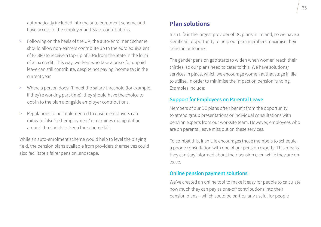automatically included into the auto enrolment scheme and have access to the employer and State contributions.

- > Following on the heels of the UK, the auto-enrolment scheme should allow non-earners contribute up to the euro equivalent of £2,880 to receive a top-up of 20% from the State in the form of a tax credit. This way, workers who take a break for unpaid leave can still contribute, despite not paying income tax in the current year.
- > Where a person doesn't meet the salary threshold (for example, if they're working part-time), they should have the choice to opt-in to the plan alongside employer contributions.
- > Regulations to be implemented to ensure employers can mitigate false 'self-employment' or earnings manipulation around thresholds to keep the scheme fair.

While an auto-enrolment scheme would help to level the playing field, the pension plans available from providers themselves could also facilitate a fairer pension landscape.

## **Plan solutions**

Irish Life is the largest provider of DC plans in Ireland, so we have a significant opportunity to help our plan members maximise their pension outcomes.

The gender pension gap starts to widen when women reach their thirties, so our plans need to cater to this. We have solutions/ services in place, which we encourage women at that stage in life to utilise, in order to minimise the impact on pension funding. Examples include:

#### **Support for Employees on Parental Leave**

Members of our DC plans often benefit from the opportunity to attend group presentations or individual consultations with pension experts from our worksite team. However, employees who are on parental leave miss out on these services.

To combat this, Irish Life encourages those members to schedule a phone consultation with one of our pension experts. This means they can stay informed about their pension even while they are on leave.

#### **Online pension payment solutions**

We've created an online tool to make it easy for people to calculate how much they can pay as one-off contributions into their pension plans – which could be particularly useful for people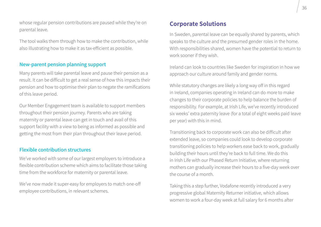whose regular pension contributions are paused while they're on parental leave.

The tool walks them through how to make the contribution, while also illustrating how to make it as tax-efficient as possible.

#### **New-parent pension planning support**

Many parents will take parental leave and pause their pension as a result. It can be difficult to get a real sense of how this impacts their pension and how to optimise their plan to negate the ramifications of this leave period.

Our Member Engagement team is available to support members throughout their pension journey. Parents who are taking maternity or parental leave can get in touch and avail of this support facility with a view to being as informed as possible and getting the most from their plan throughout their leave period.

#### **Flexible contribution structures**

We've worked with some of our largest employers to introduce a flexible contribution scheme which aims to facilitate those taking time from the workforce for maternity or parental leave.

We've now made it super-easy for employers to match one-off employee contributions, in relevant schemes.

#### **Corporate Solutions**

In Sweden, parental leave can be equally shared by parents, which speaks to the culture and the presumed gender roles in the home. With responsibilities shared, women have the potential to return to work sooner if they wish.

Ireland can look to countries like Sweden for inspiration in how we approach our culture around family and gender norms.

While statutory changes are likely a long way off in this regard in Ireland, companies operating in Ireland can do more to make changes to their corporate policies to help balance the burden of responsibility. For example, at Irish Life, we've recently introduced six weeks' extra paternity leave (for a total of eight weeks paid leave per year) with this in mind.

Transitioning back to corporate work can also be difficult after extended leave, so companies could look to develop corporate transitioning policies to help workers ease back to work, gradually building their hours until they're back to full time. We do this in Irish Life with our Phased Return Initiative, where returning mothers can gradually increase their hours to a five-day week over the course of a month.

Taking this a step further, Vodafone recently introduced a very progressive global Maternity Returner initiative, which allows women to work a four-day week at full salary for 6 months after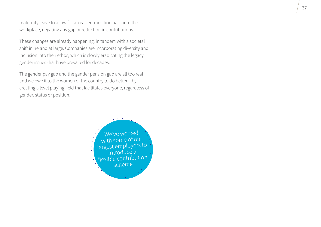maternity leave to allow for an easier transition back into the workplace, negating any gap or reduction in contributions.

These changes are already happening, in tandem with a societal shift in Ireland at large. Companies are incorporating diversity and inclusion into their ethos, which is slowly eradicating the legacy gender issues that have prevailed for decades.

The gender pay gap and the gender pension gap are all too real and we owe it to the women of the country to do better – by creating a level playing field that facilitates everyone, regardless of gender, status or position.

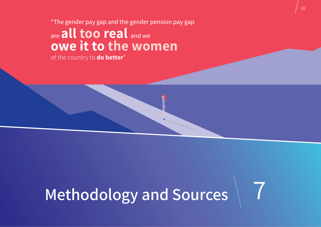#### "The gender pay gap and the gender pension pay gap

## are **all too real** and we **owe it to the women**

of the country to **do better**"

## **Methodology and Sources** 7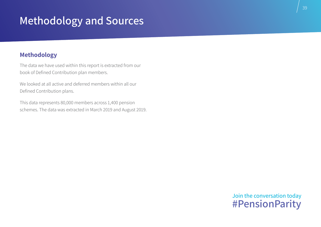## **Methodology and Sources**

## **Methodology**

The data we have used within this report is extracted from our book of Defined Contribution plan members.

We looked at all active and deferred members within all our Defined Contribution plans.

This data represents 80,000 members across 1,400 pension schemes. The data was extracted in March 2019 and August 2019.

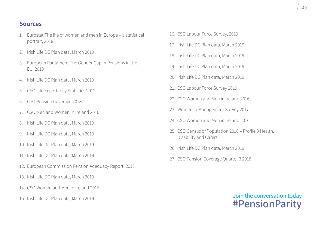#### **Sources**

- 1. Eurostat The life of women and men in Europe a statistical portrait, 2018
- 2. Irish Life DC Plan data, March 2019
- 3. European Parliament The Gender Gap in Pensions in the EU, 2019
- 4. Irish Life DC Plan data, March 2019
- 5. CSO Life Expectancy Statistics 2012
- 6. CSO Pension Coverage 2018
- 7. CSO Men and Women in Ireland 2016
- 8. Irish Life DC Plan data, March 2019
- 9. Irish Life DC Plan data, March 2019
- 10. Irish Life DC Plan data, March 2019
- 11. Irish Life DC Plan data, March 2019
- 12. European Commission Pension Adequacy Report, 2018
- 13. Irish Life DC Plan data, March 2019
- 14. CSO Women and Men in Ireland 2016
- 15. Irish Life DC Plan data, March 2019
- 16. CSO Labour Force Survey, 2019
- 17. Irish Life DC Plan data, March 2019
- 18. Irish Life DC Plan data, March 2019
- 19. Irish Life DC Plan data, March 2019
- 20. Irish Life DC Plan data, March 2019
- 21. CSO Labour Force Survey 2019
- 22. CSO Women and Men in Ireland 2016
- 23. Women in Management Survey 2017
- 24. CSO Women and Men in Ireland 2016
- 25. CSO Census of Population 2016 Profile 9 Health, Disability and Carers
- 26. Irish Life DC Plan data, March 2019
- 27. CSO Pension Coverage Quarter 3 2018

## Join the conversation today **#PensionParity**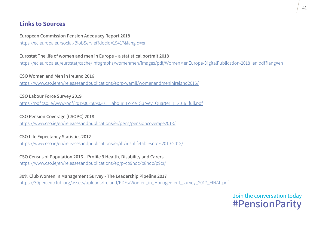## **Links to Sources**

**European Commission Pension Adequacy Report 2018** <https://ec.europa.eu/social/BlobServlet?docId=19417&langId=en>

**Eurostat The life of women and men in Europe – a statistical portrait 2018**

[https://ec.europa.eu/eurostat/cache/infographs/womenmen/images/pdf/WomenMenEurope-DigitalPublication-2018\\_en.pdf?lang=en](https://ec.europa.eu/eurostat/cache/infographs/womenmen/images/pdf/WomenMenEurope-DigitalPublication-2018_en.pdf?lang=en)

**CSO Women and Men in Ireland 2016** 

<https://www.cso.ie/en/releasesandpublications/ep/p-wamii/womenandmeninireland2016/>

**CSO Labour Force Survey 2019**

https://pdf.cso.ie/www/pdf/20190625090301\_Labour\_Force\_Survey\_Ouarter\_1\_2019\_full.pdf

**CSO Pension Coverage (CSOPC) 2018**

<https://www.cso.ie/en/releasesandpublications/er/pens/pensioncoverage2018/>

**CSO Life Expectancy Statistics 2012**

<https://www.cso.ie/en/releasesandpublications/er/ilt/irishlifetablesno162010-2012/>

**CSO Census of Population 2016 – Profile 9 Health, Disability and Carers** <https://www.cso.ie/en/releasesandpublications/ep/p-cp9hdc/p8hdc/p9cr/>

**30% Club Women in Management Survey - The Leadership Pipeline 2017** [https://30percentclub.org/assets/uploads/Ireland/PDFs/Women\\_in\\_Management\\_survey\\_2017\\_FINAL.pdf](https://30percentclub.org/assets/uploads/Ireland/PDFs/Women_in_Management_survey_2017_FINAL.pdf)